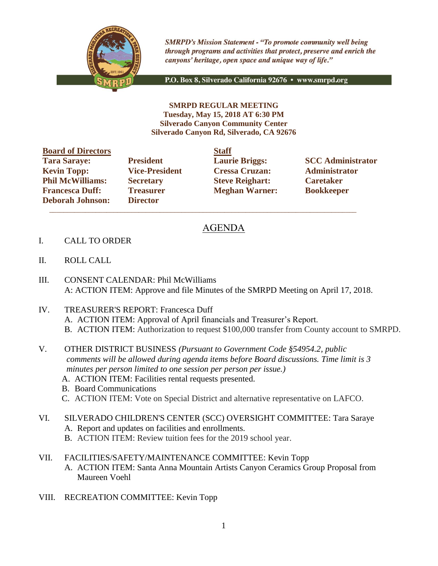

**SMRPD's Mission Statement - "To promote community well being** through programs and activities that protect, preserve and enrich the canyons' heritage, open space and unique way of life."

P.O. Box 8, Silverado California 92676 · www.smrpd.org

**SMRPD REGULAR MEETING Tuesday, May 15, 2018 AT 6:30 PM Silverado Canyon Community Center Silverado Canyon Rd, Silverado, CA 92676**

| <b>Board of Directors</b> |                       | <b>Staff</b> |
|---------------------------|-----------------------|--------------|
| <b>Tara Saraye:</b>       | <b>President</b>      | Laur         |
| <b>Kevin Topp:</b>        | <b>Vice-President</b> | <b>Cres</b>  |
| <b>Phil McWilliams:</b>   | <b>Secretary</b>      | <b>Steve</b> |
| <b>Francesca Duff:</b>    | <b>Treasurer</b>      | Megl         |
| <b>Deborah Johnson:</b>   | <b>Director</b>       |              |

**Director**  $\mathcal{L}_\text{max}$  , and the set of the set of the set of the set of the set of the set of the set of the set of the set of the set of the set of the set of the set of the set of the set of the set of the set of the set of the

**Kevin Topp: Vice-President Cressa Cruzan: Administrator Philo McGive Reighart: Philosophic Caretaker Freasurer Meghan Warner: Bookkeeper** 

**Tarages: President Laurie Briggs: SCC Administrator** 

## AGENDA

- I. CALL TO ORDER
- II. ROLL CALL
- III. CONSENT CALENDAR: Phil McWilliams A: ACTION ITEM: Approve and file Minutes of the SMRPD Meeting on April 17, 2018.
- IV. TREASURER'S REPORT: Francesca Duff A. ACTION ITEM: Approval of April financials and Treasurer's Report. B. ACTION ITEM: Authorization to request \$100,000 transfer from County account to SMRPD.
- V. OTHER DISTRICT BUSINESS *(Pursuant to Government Code §54954.2, public comments will be allowed during agenda items before Board discussions. Time limit is 3 minutes per person limited to one session per person per issue.)*
	- A. ACTION ITEM: Facilities rental requests presented.
	- B. Board Communications
	- C. ACTION ITEM: Vote on Special District and alternative representative on LAFCO.
- VI. SILVERADO CHILDREN'S CENTER (SCC) OVERSIGHT COMMITTEE: Tara Saraye A. Report and updates on facilities and enrollments.
	- B. ACTION ITEM: Review tuition fees for the 2019 school year.
- VII. FACILITIES/SAFETY/MAINTENANCE COMMITTEE: Kevin Topp A. ACTION ITEM: Santa Anna Mountain Artists Canyon Ceramics Group Proposal from Maureen Voehl
- VIII. RECREATION COMMITTEE: Kevin Topp